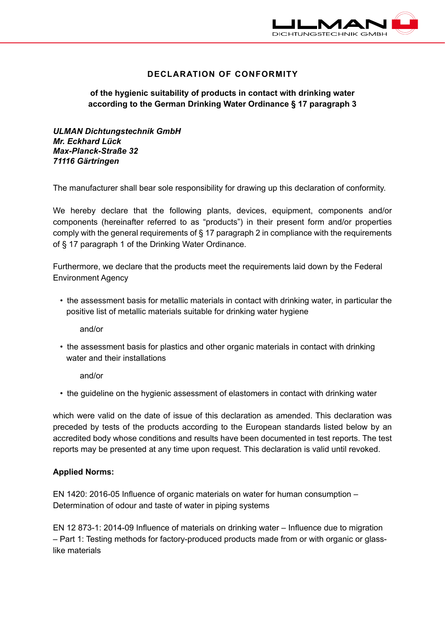

# **DECLARATION OF CONFORMITY**

# **of the hygienic suitability of products in contact with drinking water according to the German Drinking Water Ordinance § 17 paragraph 3**

*ULMAN Dichtungstechnik GmbH Mr. Eckhard Lück Max-Planck-Straße 32 71116 Gärtringen*

The manufacturer shall bear sole responsibility for drawing up this declaration of conformity.

We hereby declare that the following plants, devices, equipment, components and/or components (hereinafter referred to as "products") in their present form and/or properties comply with the general requirements of § 17 paragraph 2 in compliance with the requirements of § 17 paragraph 1 of the Drinking Water Ordinance.

Furthermore, we declare that the products meet the requirements laid down by the Federal Environment Agency

• the assessment basis for metallic materials in contact with drinking water, in particular the positive list of metallic materials suitable for drinking water hygiene

and/or

• the assessment basis for plastics and other organic materials in contact with drinking water and their installations

and/or

• the guideline on the hygienic assessment of elastomers in contact with drinking water

which were valid on the date of issue of this declaration as amended. This declaration was preceded by tests of the products according to the European standards listed below by an accredited body whose conditions and results have been documented in test reports. The test reports may be presented at any time upon request. This declaration is valid until revoked.

#### **Applied Norms:**

EN 1420: 2016-05 Influence of organic materials on water for human consumption – Determination of odour and taste of water in piping systems

EN 12 873-1: 2014-09 Influence of materials on drinking water – Influence due to migration – Part 1: Testing methods for factory-produced products made from or with organic or glasslike materials